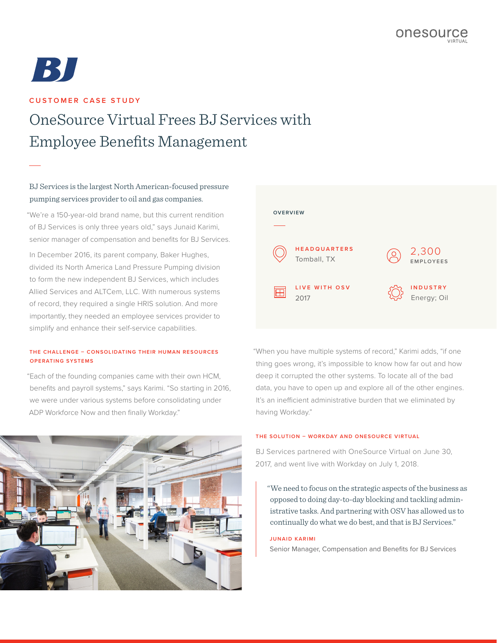

**CUSTOMER CASE STUDY** 

# OneSource Virtual Frees BJ Services with Employee Benefits Management

## BJ Services is the largest North American-focused pressure pumping services provider to oil and gas companies.

"We're a 150-year-old brand name, but this current rendition of BJ Services is only three years old," says Junaid Karimi, senior manager of compensation and benefits for BJ Services.

In December 2016, its parent company, Baker Hughes, divided its North America Land Pressure Pumping division to form the new independent BJ Services, which includes Allied Services and ALTCem, LLC. With numerous systems of record, they required a single HRIS solution. And more importantly, they needed an employee services provider to simplify and enhance their self-service capabilities.

## **THE CHALLENGE – CONSOLIDATING THEIR HUMAN RESOURCES OPERATING SYSTEMS**

"Each of the founding companies came with their own HCM, benefits and payroll systems," says Karimi. "So starting in 2016, we were under various systems before consolidating under ADP Workforce Now and then finally Workday."





"When you have multiple systems of record," Karimi adds, "if one thing goes wrong, it's impossible to know how far out and how deep it corrupted the other systems. To locate all of the bad data, you have to open up and explore all of the other engines. It's an inefficient administrative burden that we eliminated by having Workday."

## **THE SOLUTION – WORKDAY AND ONESOURCE VIRTUAL**

BJ Services partnered with OneSource Virtual on June 30, 2017, and went live with Workday on July 1, 2018.

"We need to focus on the strategic aspects of the business as opposed to doing day-to-day blocking and tackling administrative tasks. And partnering with OSV has allowed us to continually do what we do best, and that is BJ Services."

## **JUNAID KARIMI**

Senior Manager, Compensation and Benefits for BJ Services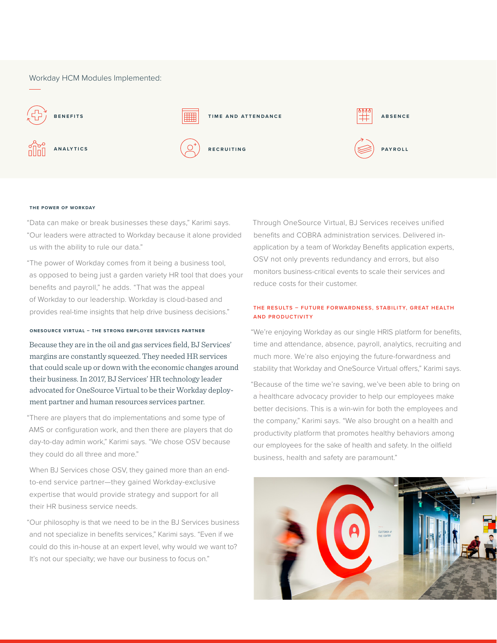## Workday HCM Modules Implemented:



#### **THE POWER OF WORKDAY**

"Data can make or break businesses these days," Karimi says. "Our leaders were attracted to Workday because it alone provided us with the ability to rule our data."

"The power of Workday comes from it being a business tool, as opposed to being just a garden variety HR tool that does your benefits and payroll," he adds. "That was the appeal of Workday to our leadership. Workday is cloud-based and provides real-time insights that help drive business decisions."

## **ONESOURCE VIRTUAL – THE STRONG EMPLOYEE SERVICES PARTNER**

Because they are in the oil and gas services field, BJ Services' margins are constantly squeezed. They needed HR services that could scale up or down with the economic changes around their business. In 2017, BJ Services' HR technology leader advocated for OneSource Virtual to be their Workday deployment partner and human resources services partner.

"There are players that do implementations and some type of AMS or configuration work, and then there are players that do day-to-day admin work," Karimi says. "We chose OSV because they could do all three and more."

When BJ Services chose OSV, they gained more than an endto-end service partner—they gained Workday-exclusive expertise that would provide strategy and support for all their HR business service needs.

"Our philosophy is that we need to be in the BJ Services business and not specialize in benefits services," Karimi says. "Even if we could do this in-house at an expert level, why would we want to? It's not our specialty; we have our business to focus on."

Through OneSource Virtual, BJ Services receives unified benefits and COBRA administration services. Delivered inapplication by a team of Workday Benefits application experts, OSV not only prevents redundancy and errors, but also monitors business-critical events to scale their services and reduce costs for their customer.

## **THE RESULTS – FUTURE FORWARDNESS, STABILITY, GREAT HEALTH AND PRODUCTIVITY**

"We're enjoying Workday as our single HRIS platform for benefits, time and attendance, absence, payroll, analytics, recruiting and much more. We're also enjoying the future-forwardness and stability that Workday and OneSource Virtual offers," Karimi says.

"Because of the time we're saving, we've been able to bring on a healthcare advocacy provider to help our employees make better decisions. This is a win-win for both the employees and the company," Karimi says. "We also brought on a health and productivity platform that promotes healthy behaviors among our employees for the sake of health and safety. In the oilfield business, health and safety are paramount."